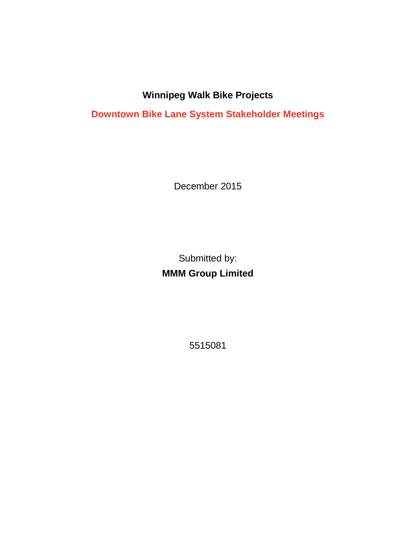## **Winnipeg Walk Bike Projects**

**Downtown Bike Lane System Stakeholder Meetings**

December 2015

Submitted by: **MMM Group Limited**

5515081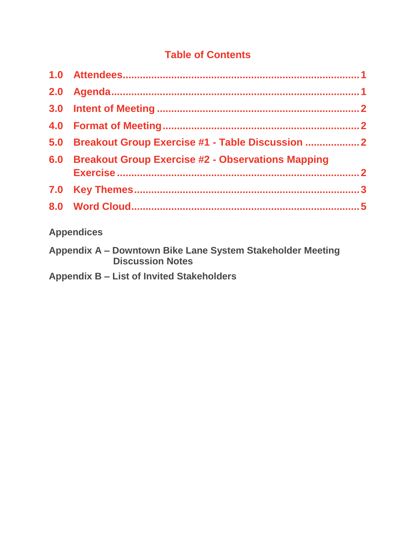## **Table of Contents**

| 5.0 Breakout Group Exercise #1 - Table Discussion  2  |  |
|-------------------------------------------------------|--|
| 6.0 Breakout Group Exercise #2 - Observations Mapping |  |
|                                                       |  |
|                                                       |  |
| <b>Appendices</b>                                     |  |

## **Appendix A – Downtown Bike Lane System Stakeholder Meeting Discussion Notes**

**Appendix B – List of Invited Stakeholders**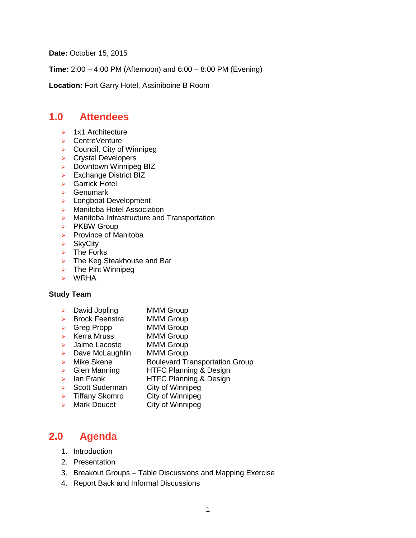<span id="page-2-0"></span>**Date:** October 15, 2015

**Time:** 2:00 – 4:00 PM (Afternoon) and 6:00 – 8:00 PM (Evening)

**Location:** Fort Garry Hotel, Assiniboine B Room

### **1.0 Attendees**

- $\geq$  1x1 Architecture
- ▶ CentreVenture
- $\triangleright$  Council, City of Winnipeg
- **EX Crystal Developers**
- $\triangleright$  Downtown Winnipeg BIZ
- $\triangleright$  Exchange District BIZ
- Garrick Hotel
- $\triangleright$  Genumark
- **Longboat Development**
- > Manitoba Hotel Association
- **EXECUTE:** Manitoba Infrastructure and Transportation
- $\triangleright$  PKBW Group
- $\triangleright$  Province of Manitoba
- **▶ SkyCity**
- $\triangleright$  The Forks
- > The Keg Steakhouse and Bar
- $\triangleright$  The Pint Winnipeg
- WRHA

#### **Study Team**

- > David Jopling MMM Group
- ▶ Brock Feenstra MMM Group
- > Greg Propp MMM Group
- > Kerra Mruss MMM Group
- > Jaime Lacoste MMM Group
- $\triangleright$  Dave McLaughlin MMM Group
- > Mike Skene Boulevard Transportation Group
- Glen Manning HTFC Planning & Design
- **Example 1** HTFC Planning & Design
- Scott Suderman City of Winnipeg
- $\triangleright$  Tiffany Skomro City of Winnipeg
- > Mark Doucet City of Winnipeg

### <span id="page-2-1"></span>**2.0 Agenda**

- 1. Introduction
- 2. Presentation
- 3. Breakout Groups Table Discussions and Mapping Exercise
- 4. Report Back and Informal Discussions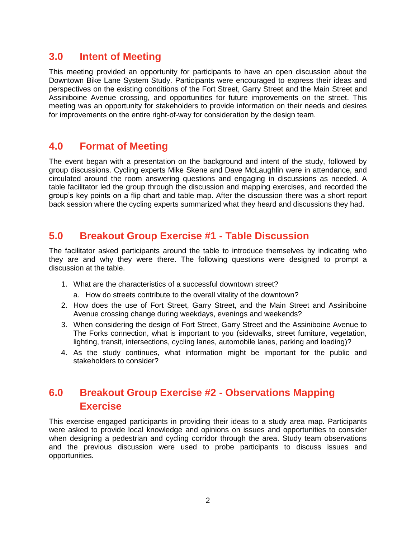## <span id="page-3-0"></span>**3.0 Intent of Meeting**

This meeting provided an opportunity for participants to have an open discussion about the Downtown Bike Lane System Study. Participants were encouraged to express their ideas and perspectives on the existing conditions of the Fort Street, Garry Street and the Main Street and Assiniboine Avenue crossing, and opportunities for future improvements on the street. This meeting was an opportunity for stakeholders to provide information on their needs and desires for improvements on the entire right-of-way for consideration by the design team.

## <span id="page-3-1"></span>**4.0 Format of Meeting**

The event began with a presentation on the background and intent of the study, followed by group discussions. Cycling experts Mike Skene and Dave McLaughlin were in attendance, and circulated around the room answering questions and engaging in discussions as needed. A table facilitator led the group through the discussion and mapping exercises, and recorded the group's key points on a flip chart and table map. After the discussion there was a short report back session where the cycling experts summarized what they heard and discussions they had.

## <span id="page-3-2"></span>**5.0 Breakout Group Exercise #1 - Table Discussion**

The facilitator asked participants around the table to introduce themselves by indicating who they are and why they were there. The following questions were designed to prompt a discussion at the table.

- 1. What are the characteristics of a successful downtown street?
	- a. How do streets contribute to the overall vitality of the downtown?
- 2. How does the use of Fort Street, Garry Street, and the Main Street and Assiniboine Avenue crossing change during weekdays, evenings and weekends?
- 3. When considering the design of Fort Street, Garry Street and the Assiniboine Avenue to The Forks connection, what is important to you (sidewalks, street furniture, vegetation, lighting, transit, intersections, cycling lanes, automobile lanes, parking and loading)?
- 4. As the study continues, what information might be important for the public and stakeholders to consider?

## <span id="page-3-3"></span>**6.0 Breakout Group Exercise #2 - Observations Mapping Exercise**

This exercise engaged participants in providing their ideas to a study area map. Participants were asked to provide local knowledge and opinions on issues and opportunities to consider when designing a pedestrian and cycling corridor through the area. Study team observations and the previous discussion were used to probe participants to discuss issues and opportunities.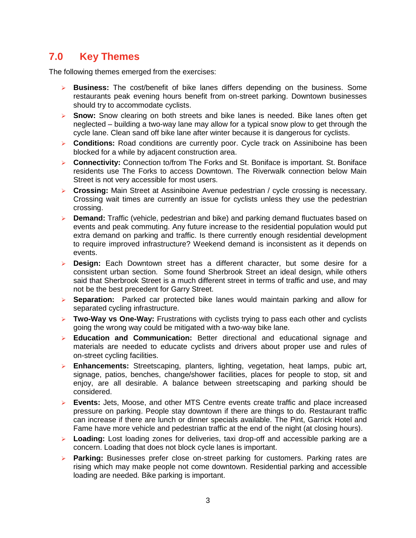## <span id="page-4-0"></span>**7.0 Key Themes**

The following themes emerged from the exercises:

- **Business:** The cost/benefit of bike lanes differs depending on the business. Some restaurants peak evening hours benefit from on-street parking. Downtown businesses should try to accommodate cyclists.
- **Snow:** Snow clearing on both streets and bike lanes is needed. Bike lanes often get neglected – building a two-way lane may allow for a typical snow plow to get through the cycle lane. Clean sand off bike lane after winter because it is dangerous for cyclists.
- **Conditions:** Road conditions are currently poor. Cycle track on Assiniboine has been blocked for a while by adjacent construction area.
- **EXECONNECTIVIEY:** Connection to/from The Forks and St. Boniface is important. St. Boniface residents use The Forks to access Downtown. The Riverwalk connection below Main Street is not very accessible for most users.
- **Crossing:** Main Street at Assiniboine Avenue pedestrian / cycle crossing is necessary. Crossing wait times are currently an issue for cyclists unless they use the pedestrian crossing.
- **Demand:** Traffic (vehicle, pedestrian and bike) and parking demand fluctuates based on events and peak commuting. Any future increase to the residential population would put extra demand on parking and traffic. Is there currently enough residential development to require improved infrastructure? Weekend demand is inconsistent as it depends on events.
- **Design:** Each Downtown street has a different character, but some desire for a consistent urban section. Some found Sherbrook Street an ideal design, while others said that Sherbrook Street is a much different street in terms of traffic and use, and may not be the best precedent for Garry Street.
- **Separation:** Parked car protected bike lanes would maintain parking and allow for separated cycling infrastructure.
- **Two-Way vs One-Way:** Frustrations with cyclists trying to pass each other and cyclists going the wrong way could be mitigated with a two-way bike lane.
- **Education and Communication:** Better directional and educational signage and materials are needed to educate cyclists and drivers about proper use and rules of on-street cycling facilities.
- **Enhancements:** Streetscaping, planters, lighting, vegetation, heat lamps, pubic art, signage, patios, benches, change/shower facilities, places for people to stop, sit and enjoy, are all desirable. A balance between streetscaping and parking should be considered.
- **Events:** Jets, Moose, and other MTS Centre events create traffic and place increased pressure on parking. People stay downtown if there are things to do. Restaurant traffic can increase if there are lunch or dinner specials available. The Pint, Garrick Hotel and Fame have more vehicle and pedestrian traffic at the end of the night (at closing hours).
- **Loading:** Lost loading zones for deliveries, taxi drop-off and accessible parking are a concern. Loading that does not block cycle lanes is important.
- **Parking:** Businesses prefer close on-street parking for customers. Parking rates are rising which may make people not come downtown. Residential parking and accessible loading are needed. Bike parking is important.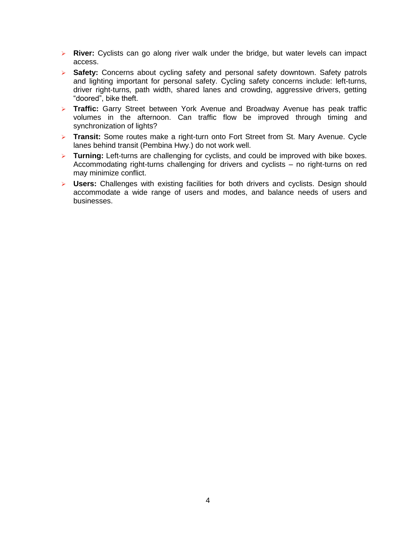- **River:** Cyclists can go along river walk under the bridge, but water levels can impact access.
- **Safety:** Concerns about cycling safety and personal safety downtown. Safety patrols and lighting important for personal safety. Cycling safety concerns include: left-turns, driver right-turns, path width, shared lanes and crowding, aggressive drivers, getting "doored", bike theft.
- **Traffic:** Garry Street between York Avenue and Broadway Avenue has peak traffic volumes in the afternoon. Can traffic flow be improved through timing and synchronization of lights?
- **Transit:** Some routes make a right-turn onto Fort Street from St. Mary Avenue. Cycle lanes behind transit (Pembina Hwy.) do not work well.
- **Turning:** Left-turns are challenging for cyclists, and could be improved with bike boxes. Accommodating right-turns challenging for drivers and cyclists – no right-turns on red may minimize conflict.
- **Users:** Challenges with existing facilities for both drivers and cyclists. Design should accommodate a wide range of users and modes, and balance needs of users and businesses.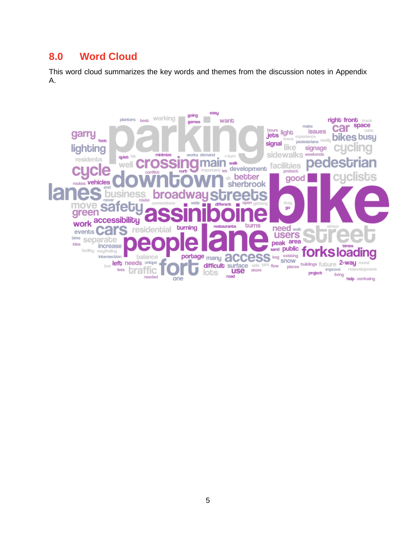## <span id="page-6-0"></span>**8.0 Word Cloud**

This word cloud summarizes the key words and themes from the discussion notes in Appendix A.

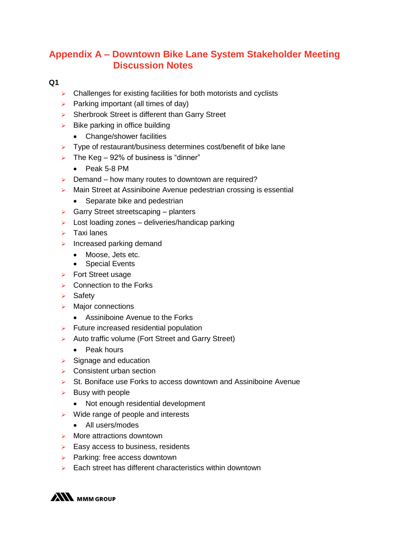## **Appendix A – Downtown Bike Lane System Stakeholder Meeting Discussion Notes**

#### **Q1**

- $\triangleright$  Challenges for existing facilities for both motorists and cyclists
- $\triangleright$  Parking important (all times of day)
- $\triangleright$  Sherbrook Street is different than Garry Street
- $\triangleright$  Bike parking in office building
	- Change/shower facilities
- $\triangleright$  Type of restaurant/business determines cost/benefit of bike lane
- $\triangleright$  The Keg 92% of business is "dinner"
	- Peak 5-8 PM
- $\triangleright$  Demand how many routes to downtown are required?
- **Main Street at Assiniboine Avenue pedestrian crossing is essential** 
	- Separate bike and pedestrian
- $\triangleright$  Garry Street streetscaping planters
- $\triangleright$  Lost loading zones deliveries/handicap parking
- $\triangleright$  Taxi lanes
- $\triangleright$  Increased parking demand
	- Moose, Jets etc.
	- Special Events
- $\triangleright$  Fort Street usage
- $\triangleright$  Connection to the Forks
- $\triangleright$  Safety
- $\triangleright$  Major connections
	- Assiniboine Avenue to the Forks
- $\triangleright$  Future increased residential population
- Auto traffic volume (Fort Street and Garry Street)
	- Peak hours
- $\triangleright$  Signage and education
- $\triangleright$  Consistent urban section
- $\triangleright$  St. Boniface use Forks to access downtown and Assiniboine Avenue
- $\triangleright$  Busy with people
	- Not enough residential development
- $\triangleright$  Wide range of people and interests
	- All users/modes
- $\triangleright$  More attractions downtown
- $\triangleright$  Easy access to business, residents
- $\triangleright$  Parking: free access downtown
- $\triangleright$  Each street has different characteristics within downtown

**ANN** MMM GROUP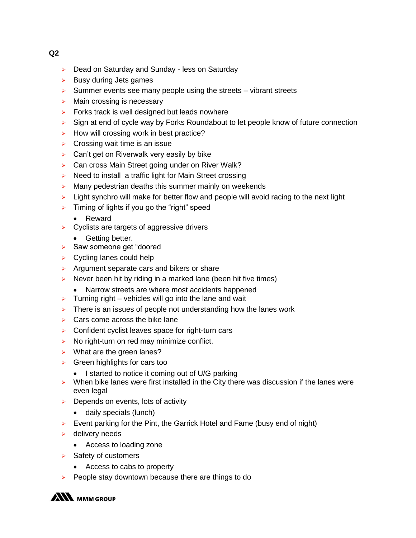- ▶ Dead on Saturday and Sunday less on Saturday
- $\triangleright$  Busy during Jets games
- $\triangleright$  Summer events see many people using the streets vibrant streets
- $\triangleright$  Main crossing is necessary
- $\triangleright$  Forks track is well designed but leads nowhere
- $\triangleright$  Sign at end of cycle way by Forks Roundabout to let people know of future connection
- $\triangleright$  How will crossing work in best practice?
- $\triangleright$  Crossing wait time is an issue
- $\triangleright$  Can't get on Riverwalk very easily by bike
- ▶ Can cross Main Street going under on River Walk?
- $\triangleright$  Need to install a traffic light for Main Street crossing
- $\triangleright$  Many pedestrian deaths this summer mainly on weekends
- $\triangleright$  Light synchro will make for better flow and people will avoid racing to the next light
- $\triangleright$  Timing of lights if you go the "right" speed
	- Reward
- $\triangleright$  Cyclists are targets of aggressive drivers
	- Getting better.
- $\triangleright$  Saw someone get "doored"
- $\triangleright$  Cycling lanes could help
- $\triangleright$  Argument separate cars and bikers or share
- $\triangleright$  Never been hit by riding in a marked lane (been hit five times)
	- Narrow streets are where most accidents happened
- $\triangleright$  Turning right vehicles will go into the lane and wait
- $\triangleright$  There is an issues of people not understanding how the lanes work
- $\triangleright$  Cars come across the bike lane
- $\triangleright$  Confident cyclist leaves space for right-turn cars
- $\triangleright$  No right-turn on red may minimize conflict.
- $\triangleright$  What are the green lanes?
- $\triangleright$  Green highlights for cars too
	- I started to notice it coming out of U/G parking
- $\triangleright$  When bike lanes were first installed in the City there was discussion if the lanes were even legal
- $\triangleright$  Depends on events, lots of activity
	- daily specials (lunch)
- $\triangleright$  Event parking for the Pint, the Garrick Hotel and Fame (busy end of night)
- $\triangleright$  delivery needs
	- Access to loading zone
- $\triangleright$  Safety of customers
	- Access to cabs to property
- $\triangleright$  People stay downtown because there are things to do

**ANN** MMM GROUP

**Q2**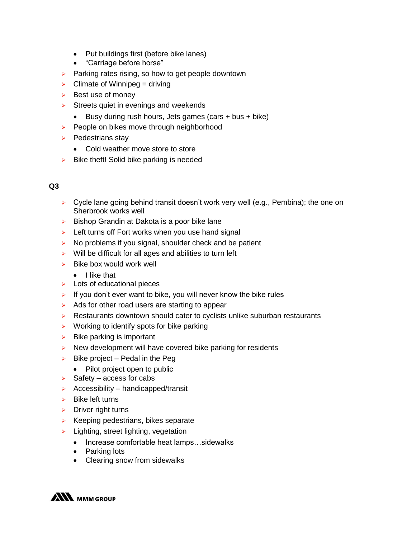- Put buildings first (before bike lanes)
- "Carriage before horse"
- $\triangleright$  Parking rates rising, so how to get people downtown
- $\triangleright$  Climate of Winnipeg = driving
- $\triangleright$  Best use of money
- $\triangleright$  Streets quiet in evenings and weekends
	- Busy during rush hours, Jets games (cars  $+$  bus  $+$  bike)
- $\triangleright$  People on bikes move through neighborhood
- $\triangleright$  Pedestrians stay
	- Cold weather move store to store
- $\triangleright$  Bike theft! Solid bike parking is needed

#### **Q3**

- $\triangleright$  Cycle lane going behind transit doesn't work very well (e.g., Pembina); the one on Sherbrook works well
- $\triangleright$  Bishop Grandin at Dakota is a poor bike lane
- $\triangleright$  Left turns off Fort works when you use hand signal
- $\triangleright$  No problems if you signal, shoulder check and be patient
- $\triangleright$  Will be difficult for all ages and abilities to turn left
- $\triangleright$  Bike box would work well
	- **.** I like that
- $\triangleright$  Lots of educational pieces
- If you don't ever want to bike, you will never know the bike rules
- $\triangleright$  Ads for other road users are starting to appear
- $\triangleright$  Restaurants downtown should cater to cyclists unlike suburban restaurants
- $\triangleright$  Working to identify spots for bike parking
- $\triangleright$  Bike parking is important
- $\triangleright$  New development will have covered bike parking for residents
- $\triangleright$  Bike project Pedal in the Peg
	- Pilot project open to public
- $\triangleright$  Safety access for cabs
- $\triangleright$  Accessibility handicapped/transit
- $\triangleright$  Bike left turns
- $\triangleright$  Driver right turns
- $\triangleright$  Keeping pedestrians, bikes separate
- $\blacktriangleright$  Lighting, street lighting, vegetation
	- Increase comfortable heat lamps...sidewalks
	- Parking lots
	- Clearing snow from sidewalks

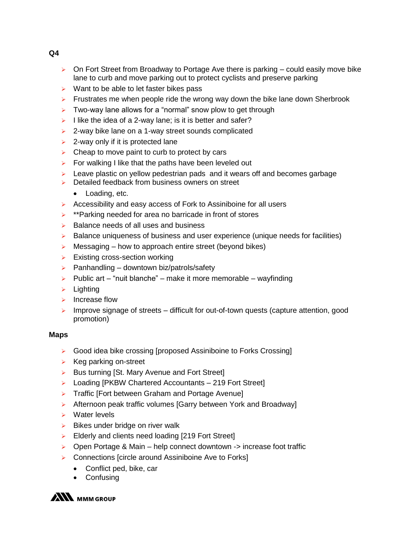- $\triangleright$  On Fort Street from Broadway to Portage Ave there is parking could easily move bike lane to curb and move parking out to protect cyclists and preserve parking
- $\triangleright$  Want to be able to let faster bikes pass
- $\triangleright$  Frustrates me when people ride the wrong way down the bike lane down Sherbrook
- $\triangleright$  Two-way lane allows for a "normal" snow plow to get through
- I like the idea of a 2-way lane; is it is better and safer?
- $\triangleright$  2-way bike lane on a 1-way street sounds complicated
- $\geq$  2-way only if it is protected lane
- $\triangleright$  Cheap to move paint to curb to protect by cars
- $\triangleright$  For walking I like that the paths have been leveled out
- $\triangleright$  Leave plastic on yellow pedestrian pads and it wears off and becomes garbage
- $\triangleright$  Detailed feedback from business owners on street
	- Loading, etc.
- $\triangleright$  Accessibility and easy access of Fork to Assiniboine for all users
- $\triangleright$  \*\*Parking needed for area no barricade in front of stores
- $\triangleright$  Balance needs of all uses and business
- $\triangleright$  Balance uniqueness of business and user experience (unique needs for facilities)
- $\triangleright$  Messaging how to approach entire street (beyond bikes)
- $\triangleright$  Existing cross-section working
- $\triangleright$  Panhandling downtown biz/patrols/safety
- $\triangleright$  Public art "nuit blanche" make it more memorable wayfinding
- $\triangleright$  Lighting
- $\triangleright$  Increase flow
- $\triangleright$  Improve signage of streets difficult for out-of-town quests (capture attention, good promotion)

#### **Maps**

- Good idea bike crossing [proposed Assiniboine to Forks Crossing]
- $\triangleright$  Keg parking on-street
- $\triangleright$  Bus turning [St. Mary Avenue and Fort Street]
- ▶ Loading [PKBW Chartered Accountants 219 Fort Street]
- Traffic [Fort between Graham and Portage Avenue]
- ▶ Afternoon peak traffic volumes [Garry between York and Broadway]
- **EXAMPLE Water levels**
- $\triangleright$  Bikes under bridge on river walk
- Elderly and clients need loading [219 Fort Street]
- $\triangleright$  Open Portage & Main help connect downtown -> increase foot traffic
- ▶ Connections [circle around Assiniboine Ave to Forks]
	- Conflict ped, bike, car
	- Confusing



**Q4**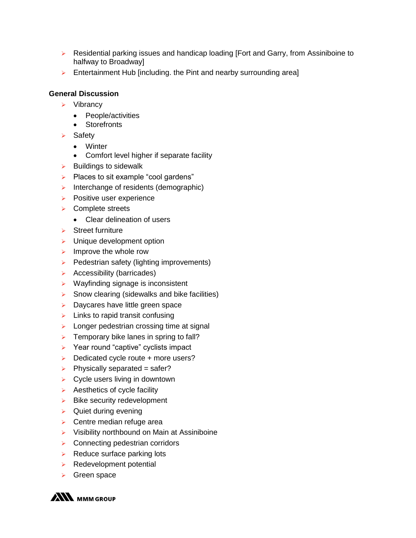- $\triangleright$  Residential parking issues and handicap loading [Fort and Garry, from Assiniboine to halfway to Broadway]
- $\triangleright$  Entertainment Hub [including. the Pint and nearby surrounding area]

#### **General Discussion**

- $\triangleright$  Vibrancy
	- People/activities
	- Storefronts
- $\triangleright$  Safety
	- Winter
	- Comfort level higher if separate facility
- $\triangleright$  Buildings to sidewalk
- $\triangleright$  Places to sit example "cool gardens"
- $\triangleright$  Interchange of residents (demographic)
- $\triangleright$  Positive user experience
- **▶ Complete streets** 
	- Clear delineation of users
- $\triangleright$  Street furniture
- $\triangleright$  Unique development option
- $\triangleright$  Improve the whole row
- $\triangleright$  Pedestrian safety (lighting improvements)
- $\triangleright$  Accessibility (barricades)
- $\triangleright$  Wayfinding signage is inconsistent
- $\triangleright$  Snow clearing (sidewalks and bike facilities)
- $\triangleright$  Daycares have little green space
- $\triangleright$  Links to rapid transit confusing
- $\triangleright$  Longer pedestrian crossing time at signal
- $\triangleright$  Temporary bike lanes in spring to fall?
- $\triangleright$  Year round "captive" cyclists impact
- $\triangleright$  Dedicated cycle route + more users?
- $\triangleright$  Physically separated = safer?
- $\triangleright$  Cycle users living in downtown
- $\triangleright$  Aesthetics of cycle facility
- $\triangleright$  Bike security redevelopment
- $\triangleright$  Quiet during evening
- $\triangleright$  Centre median refuge area
- $\triangleright$  Visibility northbound on Main at Assiniboine
- **EXECONNECTING PEDECISE CONNECTING PEDECIST**
- $\triangleright$  Reduce surface parking lots
- $\triangleright$  Redevelopment potential
- Green space

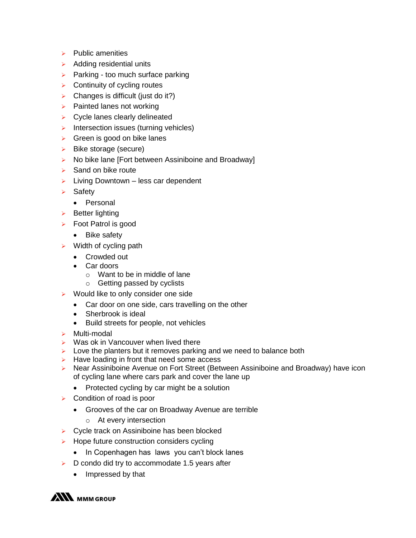- $\triangleright$  Public amenities
- $\triangleright$  Adding residential units
- $\triangleright$  Parking too much surface parking
- $\triangleright$  Continuity of cycling routes
- $\triangleright$  Changes is difficult (just do it?)
- $\triangleright$  Painted lanes not working
- $\triangleright$  Cycle lanes clearly delineated
- $\triangleright$  Intersection issues (turning vehicles)
- $\triangleright$  Green is good on bike lanes
- $\triangleright$  Bike storage (secure)
- $\triangleright$  No bike lane [Fort between Assiniboine and Broadway]
- $\triangleright$  Sand on bike route
- $\triangleright$  Living Downtown less car dependent
- $\triangleright$  Safety
	- Personal
- $\triangleright$  Better lighting
- $\triangleright$  Foot Patrol is good
	- Bike safety
- $\triangleright$  Width of cycling path
	- Crowded out
	- Car doors
		- $\circ$  Want to be in middle of lane
		- o Getting passed by cyclists
- $\triangleright$  Would like to only consider one side
	- Car door on one side, cars travelling on the other
	- Sherbrook is ideal
	- Build streets for people, not vehicles
- > Multi-modal
- $\triangleright$  Was ok in Vancouver when lived there
- $\triangleright$  Love the planters but it removes parking and we need to balance both
- $\triangleright$  Have loading in front that need some access
- Near Assiniboine Avenue on Fort Street (Between Assiniboine and Broadway) have icon of cycling lane where cars park and cover the lane up
	- Protected cycling by car might be a solution
- $\triangleright$  Condition of road is poor
	- Grooves of the car on Broadway Avenue are terrible
		- o At every intersection
- ▶ Cycle track on Assiniboine has been blocked
- $\triangleright$  Hope future construction considers cycling
	- In Copenhagen has laws you can't block lanes
- $\triangleright$  D condo did try to accommodate 1.5 years after
	- Impressed by that

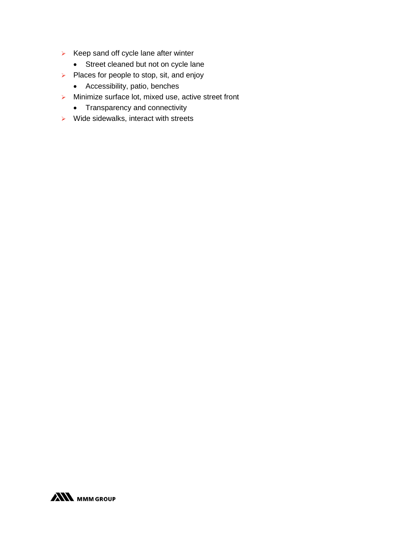- $\triangleright$  Keep sand off cycle lane after winter
	- Street cleaned but not on cycle lane
- $\triangleright$  Places for people to stop, sit, and enjoy
	- Accessibility, patio, benches
- $\triangleright$  Minimize surface lot, mixed use, active street front
	- Transparency and connectivity
- $\triangleright$  Wide sidewalks, interact with streets

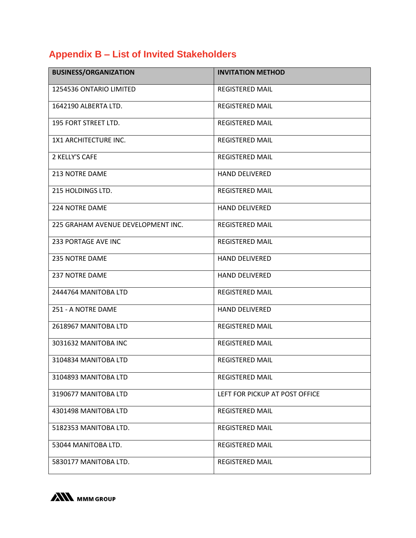# **Appendix B – List of Invited Stakeholders**

| <b>BUSINESS/ORGANIZATION</b>       | <b>INVITATION METHOD</b>       |
|------------------------------------|--------------------------------|
| 1254536 ONTARIO LIMITED            | <b>REGISTERED MAIL</b>         |
| 1642190 ALBERTA LTD.               | <b>REGISTERED MAIL</b>         |
| 195 FORT STREET LTD.               | <b>REGISTERED MAIL</b>         |
| 1X1 ARCHITECTURE INC.              | <b>REGISTERED MAIL</b>         |
| 2 KELLY'S CAFE                     | <b>REGISTERED MAIL</b>         |
| <b>213 NOTRE DAME</b>              | <b>HAND DELIVERED</b>          |
| 215 HOLDINGS LTD.                  | <b>REGISTERED MAIL</b>         |
| 224 NOTRE DAME                     | <b>HAND DELIVERED</b>          |
| 225 GRAHAM AVENUE DEVELOPMENT INC. | <b>REGISTERED MAIL</b>         |
| <b>233 PORTAGE AVE INC</b>         | <b>REGISTERED MAIL</b>         |
| <b>235 NOTRE DAME</b>              | <b>HAND DELIVERED</b>          |
| <b>237 NOTRE DAME</b>              | <b>HAND DELIVERED</b>          |
| 2444764 MANITOBA LTD               | <b>REGISTERED MAIL</b>         |
| 251 - A NOTRE DAME                 | <b>HAND DELIVERED</b>          |
| 2618967 MANITOBA LTD               | <b>REGISTERED MAIL</b>         |
| 3031632 MANITOBA INC               | <b>REGISTERED MAIL</b>         |
| 3104834 MANITOBA LTD               | <b>REGISTERED MAIL</b>         |
| 3104893 MANITOBA LTD               | <b>REGISTERED MAIL</b>         |
| 3190677 MANITOBA LTD               | LEFT FOR PICKUP AT POST OFFICE |
| 4301498 MANITOBA LTD               | <b>REGISTERED MAIL</b>         |
| 5182353 MANITOBA LTD.              | <b>REGISTERED MAIL</b>         |
| 53044 MANITOBA LTD.                | <b>REGISTERED MAIL</b>         |
| 5830177 MANITOBA LTD.              | <b>REGISTERED MAIL</b>         |

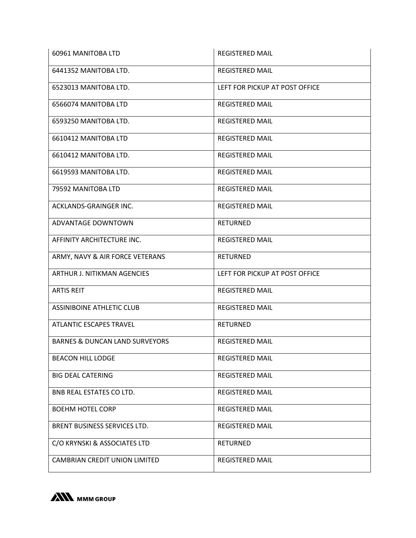| 60961 MANITOBA LTD                        | <b>REGISTERED MAIL</b>         |
|-------------------------------------------|--------------------------------|
| 6441352 MANITOBA LTD.                     | <b>REGISTERED MAIL</b>         |
| 6523013 MANITOBA LTD.                     | LEFT FOR PICKUP AT POST OFFICE |
| 6566074 MANITOBA LTD                      | <b>REGISTERED MAIL</b>         |
| 6593250 MANITOBA LTD.                     | <b>REGISTERED MAIL</b>         |
| 6610412 MANITOBA LTD                      | <b>REGISTERED MAIL</b>         |
| 6610412 MANITOBA LTD.                     | <b>REGISTERED MAIL</b>         |
| 6619593 MANITOBA LTD.                     | <b>REGISTERED MAIL</b>         |
| 79592 MANITOBA LTD                        | <b>REGISTERED MAIL</b>         |
| ACKLANDS-GRAINGER INC.                    | <b>REGISTERED MAIL</b>         |
| ADVANTAGE DOWNTOWN                        | <b>RETURNED</b>                |
| AFFINITY ARCHITECTURE INC.                | <b>REGISTERED MAIL</b>         |
| ARMY, NAVY & AIR FORCE VETERANS           | <b>RETURNED</b>                |
| ARTHUR J. NITIKMAN AGENCIES               | LEFT FOR PICKUP AT POST OFFICE |
| <b>ARTIS REIT</b>                         | <b>REGISTERED MAIL</b>         |
| <b>ASSINIBOINE ATHLETIC CLUB</b>          |                                |
|                                           | <b>REGISTERED MAIL</b>         |
| <b>ATLANTIC ESCAPES TRAVEL</b>            | <b>RETURNED</b>                |
| <b>BARNES &amp; DUNCAN LAND SURVEYORS</b> | <b>REGISTERED MAIL</b>         |
| <b>BEACON HILL LODGE</b>                  | <b>REGISTERED MAIL</b>         |
| <b>BIG DEAL CATERING</b>                  | <b>REGISTERED MAIL</b>         |
| BNB REAL ESTATES CO LTD.                  | <b>REGISTERED MAIL</b>         |
| <b>BOEHM HOTEL CORP</b>                   | <b>REGISTERED MAIL</b>         |
| BRENT BUSINESS SERVICES LTD.              | <b>REGISTERED MAIL</b>         |
| C/O KRYNSKI & ASSOCIATES LTD              | <b>RETURNED</b>                |

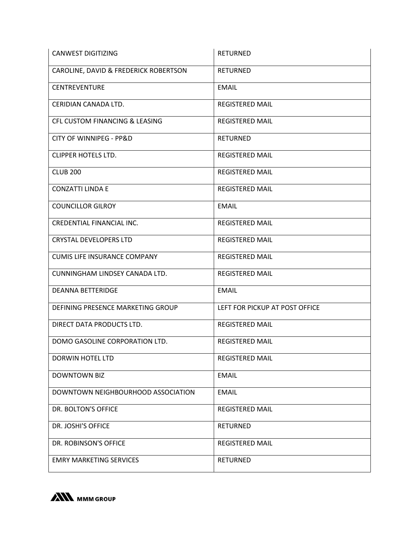| <b>CANWEST DIGITIZING</b>                 | <b>RETURNED</b>                |
|-------------------------------------------|--------------------------------|
| CAROLINE, DAVID & FREDERICK ROBERTSON     | <b>RETURNED</b>                |
| <b>CENTREVENTURE</b>                      | <b>EMAIL</b>                   |
| CERIDIAN CANADA LTD.                      | <b>REGISTERED MAIL</b>         |
| <b>CFL CUSTOM FINANCING &amp; LEASING</b> | <b>REGISTERED MAIL</b>         |
| <b>CITY OF WINNIPEG - PP&amp;D</b>        | <b>RETURNED</b>                |
| <b>CLIPPER HOTELS LTD.</b>                | <b>REGISTERED MAIL</b>         |
| <b>CLUB 200</b>                           | <b>REGISTERED MAIL</b>         |
| <b>CONZATTI LINDA E</b>                   | <b>REGISTERED MAIL</b>         |
| <b>COUNCILLOR GILROY</b>                  | <b>EMAIL</b>                   |
| CREDENTIAL FINANCIAL INC.                 | <b>REGISTERED MAIL</b>         |
| <b>CRYSTAL DEVELOPERS LTD</b>             | <b>REGISTERED MAIL</b>         |
| <b>CUMIS LIFE INSURANCE COMPANY</b>       | <b>REGISTERED MAIL</b>         |
| CUNNINGHAM LINDSEY CANADA LTD.            | <b>REGISTERED MAIL</b>         |
| <b>DEANNA BETTERIDGE</b>                  | <b>EMAIL</b>                   |
| DEFINING PRESENCE MARKETING GROUP         | LEFT FOR PICKUP AT POST OFFICE |
| DIRECT DATA PRODUCTS LTD.                 | <b>REGISTERED MAIL</b>         |
| DOMO GASOLINE CORPORATION LTD.            | <b>REGISTERED MAIL</b>         |
| <b>DORWIN HOTEL LTD</b>                   | <b>REGISTERED MAIL</b>         |
| <b>DOWNTOWN BIZ</b>                       | <b>EMAIL</b>                   |
| DOWNTOWN NEIGHBOURHOOD ASSOCIATION        | <b>EMAIL</b>                   |
| DR. BOLTON'S OFFICE                       | <b>REGISTERED MAIL</b>         |
| DR. JOSHI'S OFFICE                        | <b>RETURNED</b>                |
| DR. ROBINSON'S OFFICE                     | <b>REGISTERED MAIL</b>         |
| <b>EMRY MARKETING SERVICES</b>            | <b>RETURNED</b>                |

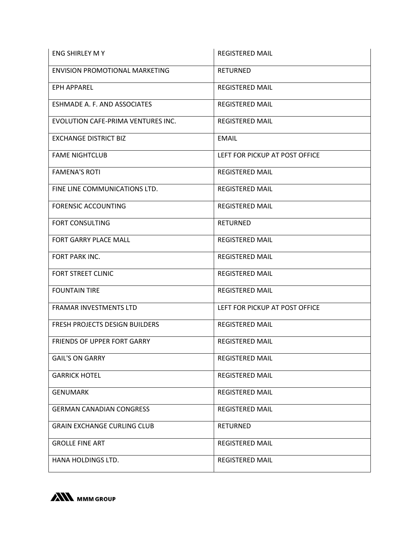| ENG SHIRLEY M Y                       | <b>REGISTERED MAIL</b>         |
|---------------------------------------|--------------------------------|
| <b>ENVISION PROMOTIONAL MARKETING</b> | <b>RETURNED</b>                |
| EPH APPAREL                           | <b>REGISTERED MAIL</b>         |
| ESHMADE A. F. AND ASSOCIATES          | <b>REGISTERED MAIL</b>         |
| EVOLUTION CAFE-PRIMA VENTURES INC.    | <b>REGISTERED MAIL</b>         |
| <b>EXCHANGE DISTRICT BIZ</b>          | <b>EMAIL</b>                   |
| <b>FAME NIGHTCLUB</b>                 | LEFT FOR PICKUP AT POST OFFICE |
| <b>FAMENA'S ROTI</b>                  | <b>REGISTERED MAIL</b>         |
| FINE LINE COMMUNICATIONS LTD.         | <b>REGISTERED MAIL</b>         |
| <b>FORENSIC ACCOUNTING</b>            | <b>REGISTERED MAIL</b>         |
| FORT CONSULTING                       | <b>RETURNED</b>                |
| FORT GARRY PLACE MALL                 | <b>REGISTERED MAIL</b>         |
| FORT PARK INC.                        | <b>REGISTERED MAIL</b>         |
| <b>FORT STREET CLINIC</b>             | <b>REGISTERED MAIL</b>         |
| <b>FOUNTAIN TIRE</b>                  | <b>REGISTERED MAIL</b>         |
| FRAMAR INVESTMENTS LTD                | LEFT FOR PICKUP AT POST OFFICE |
| <b>FRESH PROJECTS DESIGN BUILDERS</b> | <b>REGISTERED MAIL</b>         |
| <b>FRIENDS OF UPPER FORT GARRY</b>    | <b>REGISTERED MAIL</b>         |
| <b>GAIL'S ON GARRY</b>                | <b>REGISTERED MAIL</b>         |
| <b>GARRICK HOTEL</b>                  | <b>REGISTERED MAIL</b>         |
| <b>GENUMARK</b>                       | <b>REGISTERED MAIL</b>         |
| <b>GERMAN CANADIAN CONGRESS</b>       | <b>REGISTERED MAIL</b>         |
| <b>GRAIN EXCHANGE CURLING CLUB</b>    | <b>RETURNED</b>                |
| <b>GROLLE FINE ART</b>                | <b>REGISTERED MAIL</b>         |
| HANA HOLDINGS LTD.                    | <b>REGISTERED MAIL</b>         |

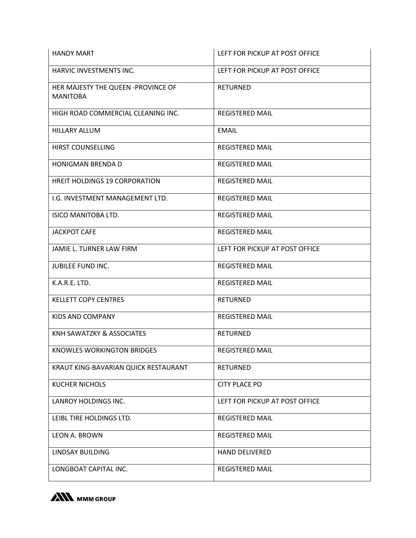| <b>HANDY MART</b>                                     | LEFT FOR PICKUP AT POST OFFICE |
|-------------------------------------------------------|--------------------------------|
| HARVIC INVESTMENTS INC.                               | LEFT FOR PICKUP AT POST OFFICE |
| HER MAJESTY THE QUEEN -PROVINCE OF<br><b>MANITOBA</b> | <b>RETURNED</b>                |
| HIGH ROAD COMMERCIAL CLEANING INC.                    | <b>REGISTERED MAIL</b>         |
| <b>HILLARY ALLUM</b>                                  | <b>EMAIL</b>                   |
| HIRST COUNSELLING                                     | <b>REGISTERED MAIL</b>         |
| <b>HONIGMAN BRENDA D</b>                              | <b>REGISTERED MAIL</b>         |
| <b>HREIT HOLDINGS 19 CORPORATION</b>                  | <b>REGISTERED MAIL</b>         |
| I.G. INVESTMENT MANAGEMENT LTD.                       | <b>REGISTERED MAIL</b>         |
| ISICO MANITOBA LTD.                                   | <b>REGISTERED MAIL</b>         |
| <b>JACKPOT CAFE</b>                                   | <b>REGISTERED MAIL</b>         |
| JAMIE L. TURNER LAW FIRM                              | LEFT FOR PICKUP AT POST OFFICE |
| <b>JUBILEE FUND INC.</b>                              | <b>REGISTERED MAIL</b>         |
| K.A.R.E. LTD.                                         | <b>REGISTERED MAIL</b>         |
| <b>KELLETT COPY CENTRES</b>                           | <b>RETURNED</b>                |
| KIDS AND COMPANY                                      | <b>REGISTERED MAIL</b>         |
| KNH SAWATZKY & ASSOCIATES                             | <b>RETURNED</b>                |
| KNOWLES WORKINGTON BRIDGES                            | <b>REGISTERED MAIL</b>         |
| KRAUT KING-BAVARIAN QUICK RESTAURANT                  | <b>RETURNED</b>                |
| <b>KUCHER NICHOLS</b>                                 | <b>CITY PLACE PO</b>           |
| LANROY HOLDINGS INC.                                  | LEFT FOR PICKUP AT POST OFFICE |
| LEIBL TIRE HOLDINGS LTD.                              | <b>REGISTERED MAIL</b>         |
| <b>LEON A. BROWN</b>                                  | <b>REGISTERED MAIL</b>         |
| LINDSAY BUILDING                                      | <b>HAND DELIVERED</b>          |
| LONGBOAT CAPITAL INC.                                 | <b>REGISTERED MAIL</b>         |

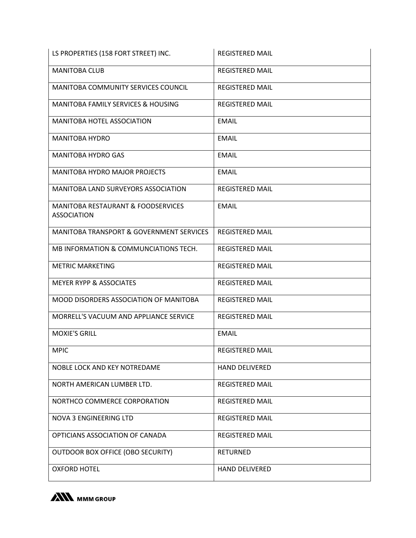| LS PROPERTIES (158 FORT STREET) INC.                                | <b>REGISTERED MAIL</b> |
|---------------------------------------------------------------------|------------------------|
| <b>MANITOBA CLUB</b>                                                | <b>REGISTERED MAIL</b> |
| MANITOBA COMMUNITY SERVICES COUNCIL                                 | <b>REGISTERED MAIL</b> |
| <b>MANITOBA FAMILY SERVICES &amp; HOUSING</b>                       | <b>REGISTERED MAIL</b> |
| <b>MANITOBA HOTEL ASSOCIATION</b>                                   | <b>EMAIL</b>           |
| <b>MANITOBA HYDRO</b>                                               | <b>EMAIL</b>           |
| <b>MANITOBA HYDRO GAS</b>                                           | <b>EMAIL</b>           |
| <b>MANITOBA HYDRO MAJOR PROJECTS</b>                                | <b>EMAIL</b>           |
| <b>MANITOBA LAND SURVEYORS ASSOCIATION</b>                          | <b>REGISTERED MAIL</b> |
| <b>MANITOBA RESTAURANT &amp; FOODSERVICES</b><br><b>ASSOCIATION</b> | <b>EMAIL</b>           |
| <b>MANITOBA TRANSPORT &amp; GOVERNMENT SERVICES</b>                 | <b>REGISTERED MAIL</b> |
| MB INFORMATION & COMMUNCIATIONS TECH.                               | <b>REGISTERED MAIL</b> |
| <b>METRIC MARKETING</b>                                             | <b>REGISTERED MAIL</b> |
| <b>MEYER RYPP &amp; ASSOCIATES</b>                                  | <b>REGISTERED MAIL</b> |
| MOOD DISORDERS ASSOCIATION OF MANITOBA                              | <b>REGISTERED MAIL</b> |
| MORRELL'S VACUUM AND APPLIANCE SERVICE                              | <b>REGISTERED MAIL</b> |
| <b>MOXIE'S GRILL</b>                                                | <b>EMAIL</b>           |
| <b>MPIC</b>                                                         | <b>REGISTERED MAIL</b> |
| NOBLE LOCK AND KEY NOTREDAME                                        | <b>HAND DELIVERED</b>  |
| NORTH AMERICAN LUMBER LTD.                                          | <b>REGISTERED MAIL</b> |
| NORTHCO COMMERCE CORPORATION                                        | <b>REGISTERED MAIL</b> |
| <b>NOVA 3 ENGINEERING LTD</b>                                       | <b>REGISTERED MAIL</b> |
| OPTICIANS ASSOCIATION OF CANADA                                     | <b>REGISTERED MAIL</b> |
| <b>OUTDOOR BOX OFFICE (OBO SECURITY)</b>                            | <b>RETURNED</b>        |
| <b>OXFORD HOTEL</b>                                                 | <b>HAND DELIVERED</b>  |

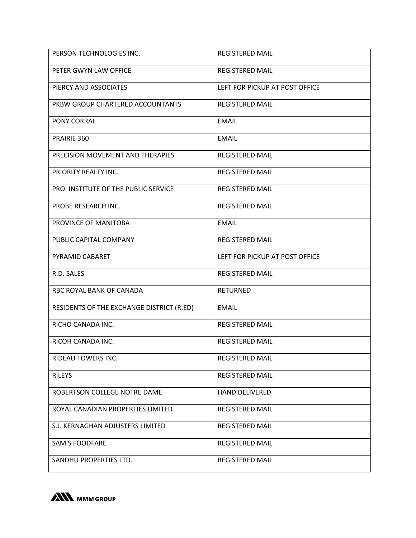| PERSON TECHNOLOGIES INC.                  | <b>REGISTERED MAIL</b>         |
|-------------------------------------------|--------------------------------|
| PETER GWYN LAW OFFICE                     | <b>REGISTERED MAIL</b>         |
| PIERCY AND ASSOCIATES                     | LEFT FOR PICKUP AT POST OFFICE |
| PKBW GROUP CHARTERED ACCOUNTANTS          | <b>REGISTERED MAIL</b>         |
| PONY CORRAL                               | <b>EMAIL</b>                   |
| PRAIRIE 360                               | <b>EMAIL</b>                   |
| PRECISION MOVEMENT AND THERAPIES          | <b>REGISTERED MAIL</b>         |
| PRIORITY REALTY INC.                      | <b>REGISTERED MAIL</b>         |
| PRO. INSTITUTE OF THE PUBLIC SERVICE      | <b>REGISTERED MAIL</b>         |
| PROBE RESEARCH INC.                       | <b>REGISTERED MAIL</b>         |
| PROVINCE OF MANITOBA                      | <b>EMAIL</b>                   |
| PUBLIC CAPITAL COMPANY                    | <b>REGISTERED MAIL</b>         |
| PYRAMID CABARET                           | LEFT FOR PICKUP AT POST OFFICE |
| R.D. SALES                                | <b>REGISTERED MAIL</b>         |
| RBC ROYAL BANK OF CANADA                  | <b>RETURNED</b>                |
| RESIDENTS OF THE EXCHANGE DISTRICT (R:ED) | <b>EMAIL</b>                   |
| RICHO CANADA INC.                         | <b>REGISTERED MAIL</b>         |
| RICOH CANADA INC.                         | <b>REGISTERED MAIL</b>         |
| RIDEAU TOWERS INC.                        | <b>REGISTERED MAIL</b>         |
| <b>RILEYS</b>                             | <b>REGISTERED MAIL</b>         |
| ROBERTSON COLLEGE NOTRE DAME              | <b>HAND DELIVERED</b>          |
| ROYAL CANADIAN PROPERTIES LIMITED         | <b>REGISTERED MAIL</b>         |
| S.J. KERNAGHAN ADJUSTERS LIMITED          | <b>REGISTERED MAIL</b>         |
| <b>SAM'S FOODFARE</b>                     | <b>REGISTERED MAIL</b>         |
| SANDHU PROPERTIES LTD.                    | <b>REGISTERED MAIL</b>         |

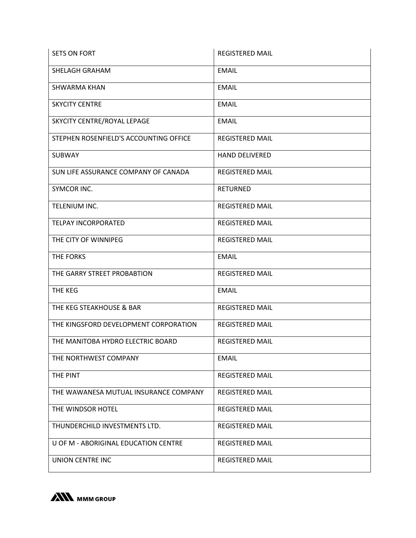| <b>SETS ON FORT</b>                    | <b>REGISTERED MAIL</b> |
|----------------------------------------|------------------------|
| SHELAGH GRAHAM                         | <b>EMAIL</b>           |
| <b>SHWARMA KHAN</b>                    | <b>EMAIL</b>           |
| <b>SKYCITY CENTRE</b>                  | <b>EMAIL</b>           |
| SKYCITY CENTRE/ROYAL LEPAGE            | <b>EMAIL</b>           |
| STEPHEN ROSENFIELD'S ACCOUNTING OFFICE | <b>REGISTERED MAIL</b> |
| <b>SUBWAY</b>                          | <b>HAND DELIVERED</b>  |
| SUN LIFE ASSURANCE COMPANY OF CANADA   | <b>REGISTERED MAIL</b> |
| SYMCOR INC.                            | <b>RETURNED</b>        |
| TELENIUM INC.                          | <b>REGISTERED MAIL</b> |
| <b>TELPAY INCORPORATED</b>             | <b>REGISTERED MAIL</b> |
| THE CITY OF WINNIPEG                   | <b>REGISTERED MAIL</b> |
| THE FORKS                              | <b>EMAIL</b>           |
| THE GARRY STREET PROBABTION            | <b>REGISTERED MAIL</b> |
| THE KEG                                | <b>EMAIL</b>           |
| THE KEG STEAKHOUSE & BAR               | <b>REGISTERED MAIL</b> |
| THE KINGSFORD DEVELOPMENT CORPORATION  | <b>REGISTERED MAIL</b> |
| THE MANITOBA HYDRO ELECTRIC BOARD      | <b>REGISTERED MAIL</b> |
| THE NORTHWEST COMPANY                  | <b>EMAIL</b>           |
| THE PINT                               | <b>REGISTERED MAIL</b> |
| THE WAWANESA MUTUAL INSURANCE COMPANY  | <b>REGISTERED MAIL</b> |
| THE WINDSOR HOTEL                      | <b>REGISTERED MAIL</b> |
| THUNDERCHILD INVESTMENTS LTD.          | <b>REGISTERED MAIL</b> |
| U OF M - ABORIGINAL EDUCATION CENTRE   | <b>REGISTERED MAIL</b> |
| <b>UNION CENTRE INC</b>                | <b>REGISTERED MAIL</b> |